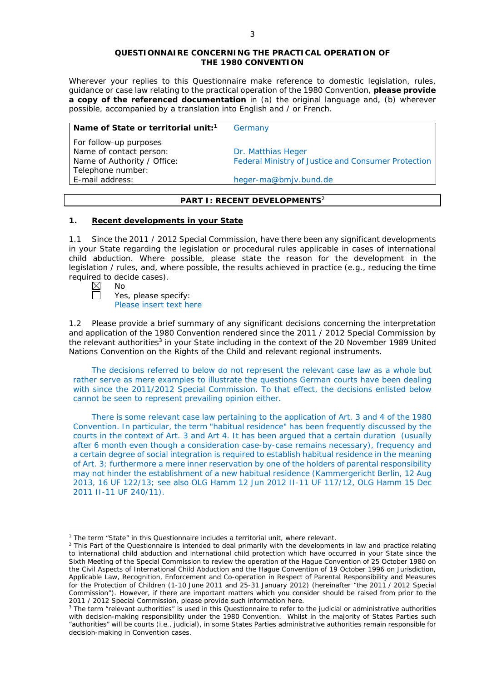#### **QUESTIONNAIRE CONCERNING THE PRACTICAL OPERATION OF THE 1980 CONVENTION**

*Wherever your replies to this Questionnaire make reference to domestic legislation, rules, guidance or case law relating to the practical operation of the 1980 Convention, please provide a copy of the referenced documentation in (a) the original language and, (b) wherever possible, accompanied by a translation into English and / or French.* 

### **Name of State or territorial unit:<sup>1</sup> Germany**

*For follow-up purposes* Name of contact person: Dr. Matthias Heger Telephone number:

Name of Authority / Office: Federal Ministry of Justice and Consumer Protection

E-mail address: heger-ma@bmjv.bund.de

# **PART I: RECENT DEVELOPMENTS**<sup>2</sup>

# **1. Recent developments in your State**

1.1 Since the 2011 / 2012 Special Commission, have there been any significant developments in your State regarding the legislation or procedural rules applicable in cases of international child abduction. Where possible, please state the reason for the development in the legislation / rules, and, where possible, the results achieved in practice (*e.g.*, reducing the time required to decide cases).

| л<br>n |
|--------|
|        |

<u>.</u>

Yes, please specify: Please insert text here

1.2 Please provide a brief summary of any significant decisions concerning the interpretation and application of the 1980 Convention rendered since the 2011 / 2012 Special Commission by the relevant authorities<sup>3</sup> in your State including in the context of the 20 November 1989 United Nations Convention on the Rights of the Child and relevant regional instruments.

The decisions referred to below do not represent the relevant case law as a whole but rather serve as mere examples to illustrate the questions German courts have been dealing with since the 2011/2012 Special Commission. To that effect, the decisions enlisted below cannot be seen to represent prevailing opinion either.

There is some relevant case law pertaining to the application of Art. 3 and 4 of the 1980 Convention. In particular, the term "habitual residence" has been frequently discussed by the courts in the context of Art. 3 and Art 4. It has been argued that a certain duration (usually after 6 month even though a consideration case-by-case remains necessary), frequency and a certain degree of social integration is required to establish habitual residence in the meaning of Art. 3; furthermore a mere inner reservation by one of the holders of parental responsibility may not hinder the establishment of a new habitual residence (Kammergericht Berlin, 12 Aug 2013, 16 UF 122/13; see also OLG Hamm 12 Jun 2012 II-11 UF 117/12, OLG Hamm 15 Dec 2011 II-11 UF 240/11).

<sup>&</sup>lt;sup>1</sup> The term "State" in this Questionnaire includes a territorial unit, where relevant.

 $<sup>2</sup>$  This Part of the Questionnaire is intended to deal primarily with the developments in law and practice relating</sup> to international child abduction and international child protection which have occurred in your State since the Sixth Meeting of the Special Commission to review the operation of the *Hague Convention of 25 October 1980 on the Civil Aspects of International Child Abduction* and the *Hague Convention of 19 October 1996 on Jurisdiction, Applicable Law, Recognition, Enforcement and Co-operation in Respect of Parental Responsibility and Measures for the Protection of Children* (1-10 June 2011 and 25-31 January 2012) (hereinafter "the 2011 / 2012 Special Commission"). However, if there are important matters which you consider should be raised from *prior to* the 2011 / 2012 Special Commission, please provide such information here.

<sup>&</sup>lt;sup>3</sup> The term "relevant authorities" is used in this Questionnaire to refer to the judicial or administrative authorities with decision-making responsibility under the 1980 Convention. Whilst in the majority of States Parties such "authorities" will be courts (*i.e.*, judicial), in some States Parties administrative authorities remain responsible for decision-making in Convention cases.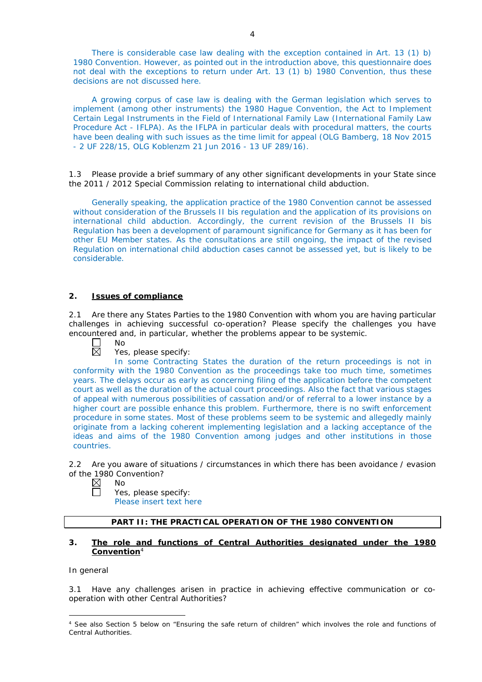There is considerable case law dealing with the exception contained in Art. 13 (1) b) 1980 Convention. However, as pointed out in the introduction above, this questionnaire does not deal with the exceptions to return under Art. 13 (1) b) 1980 Convention, thus these decisions are not discussed here.

A growing corpus of case law is dealing with the German legislation which serves to implement (among other instruments) the 1980 Hague Convention, the Act to Implement Certain Legal Instruments in the Field of International Family Law (International Family Law Procedure Act - IFLPA). As the IFLPA in particular deals with procedural matters, the courts have been dealing with such issues as the time limit for appeal (OLG Bamberg, 18 Nov 2015 - 2 UF 228/15, OLG Koblenzm 21 Jun 2016 - 13 UF 289/16).

1.3 Please provide a brief summary of any other significant developments in your State since the 2011 / 2012 Special Commission relating to international child abduction.

Generally speaking, the application practice of the 1980 Convention cannot be assessed without consideration of the Brussels II bis regulation and the application of its provisions on international child abduction. Accordingly, the current revision of the Brussels II bis Regulation has been a development of paramount significance for Germany as it has been for other EU Member states. As the consultations are still ongoing, the impact of the revised Regulation on international child abduction cases cannot be assessed yet, but is likely to be considerable.

### **2. Issues of compliance**

No

2.1 Are there any States Parties to the 1980 Convention with whom you are having particular challenges in achieving successful co-operation? Please specify the challenges you have encountered and, in particular, whether the problems appear to be systemic.



Yes, please specify:

In some Contracting States the duration of the return proceedings is not in conformity with the 1980 Convention as the proceedings take too much time, sometimes years. The delays occur as early as concerning filing of the application before the competent court as well as the duration of the actual court proceedings. Also the fact that various stages of appeal with numerous possibilities of cassation and/or of referral to a lower instance by a higher court are possible enhance this problem. Furthermore, there is no swift enforcement procedure in some states. Most of these problems seem to be systemic and allegedly mainly originate from a lacking coherent implementing legislation and a lacking acceptance of the ideas and aims of the 1980 Convention among judges and other institutions in those countries.

2.2 Are you aware of situations / circumstances in which there has been avoidance / evasion of the 1980 Convention?

- $\boxtimes$ No
	- Yes, please specify: Please insert text here

# **PART II: THE PRACTICAL OPERATION OF THE 1980 CONVENTION**

#### **3. The role and functions of Central Authorities designated under the 1980 Convention**<sup>4</sup>

# *In general*

3.1 Have any challenges arisen in practice in achieving effective communication or cooperation with other Central Authorities?

<sup>-</sup><sup>4</sup> See also Section 5 below on "Ensuring the safe return of children" which involves the role and functions of Central Authorities.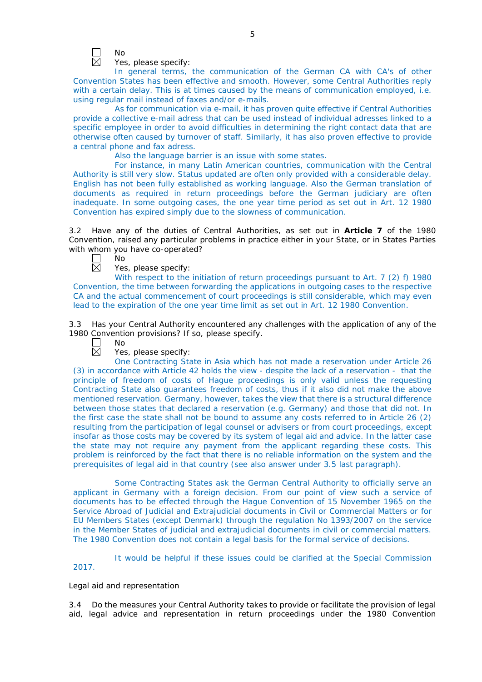

Yes, please specify:

In general terms, the communication of the German CA with CA's of other Convention States has been effective and smooth. However, some Central Authorities reply with a certain delay. This is at times caused by the means of communication employed, i.e. using regular mail instead of faxes and/or e-mails.

As for communication via e-mail, it has proven quite effective if Central Authorities provide a collective e-mail adress that can be used instead of individual adresses linked to a specific employee in order to avoid difficulties in determining the right contact data that are otherwise often caused by turnover of staff. Similarly, it has also proven effective to provide a central phone and fax adress.

Also the language barrier is an issue with some states.

For instance, in many Latin American countries, communication with the Central Authority is still very slow. Status updated are often only provided with a considerable delay. English has not been fully established as working language. Also the German translation of documents as required in return proceedings before the German judiciary are often inadequate. In some outgoing cases, the one year time period as set out in Art. 12 1980 Convention has expired simply due to the slowness of communication.

3.2 Have any of the duties of Central Authorities, as set out in **Article 7** of the 1980 Convention, raised any particular problems in practice either in your State, or in States Parties with whom you have co-operated?

No 岗

Yes, please specify:

With respect to the initiation of return proceedings pursuant to Art. 7 (2) f) 1980 Convention, the time between forwarding the applications in outgoing cases to the respective CA and the actual commencement of court proceedings is still considerable, which may even lead to the expiration of the one year time limit as set out in Art. 12 1980 Convention.

3.3 Has your Central Authority encountered any challenges with the application of any of the 1980 Convention provisions? If so, please specify.

 $\perp$ No 岗

Yes, please specify:

One Contracting State in Asia which has not made a reservation under Article 26 (3) in accordance with Article 42 holds the view - despite the lack of a reservation - that the principle of freedom of costs of Hague proceedings is only valid unless the requesting Contracting State also guarantees freedom of costs, thus if it also did not make the above mentioned reservation. Germany, however, takes the view that there is a structural difference between those states that declared a reservation (e.g. Germany) and those that did not. In the first case the state shall not be bound to assume any costs referred to in Article 26 (2) resulting from the participation of legal counsel or advisers or from court proceedings, except insofar as those costs may be covered by its system of legal aid and advice. In the latter case the state may not require any payment from the applicant regarding these costs. This problem is reinforced by the fact that there is no reliable information on the system and the prerequisites of legal aid in that country (see also answer under 3.5 last paragraph).

Some Contracting States ask the German Central Authority to officially serve an applicant in Germany with a foreign decision. From our point of view such a service of documents has to be effected through the Hague Convention of 15 November 1965 on the Service Abroad of Judicial and Extrajudicial documents in Civil or Commercial Matters or for EU Members States (except Denmark) through the regulation No 1393/2007 on the service in the Member States of judicial and extrajudicial documents in civil or commercial matters. The 1980 Convention does not contain a legal basis for the formal service of decisions.

It would be helpful if these issues could be clarified at the Special Commission

2017.

#### *Legal aid and representation*

3.4 Do the measures your Central Authority takes to provide or facilitate the provision of legal aid, legal advice and representation in return proceedings under the 1980 Convention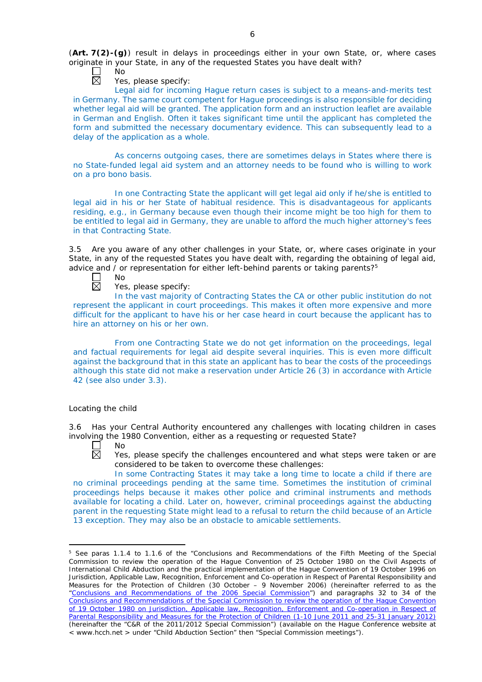(**Art. 7(2)-(g)**) result in delays in proceedings either in your own State, or, where cases originate in your State, in any of the requested States you have dealt with?

No 岗

Yes, please specify:

Legal aid for incoming Hague return cases is subject to a means-and-merits test in Germany. The same court competent for Hague proceedings is also responsible for deciding whether legal aid will be granted. The application form and an instruction leaflet are available in German and English. Often it takes significant time until the applicant has completed the form and submitted the necessary documentary evidence. This can subsequently lead to a delay of the application as a whole.

As concerns outgoing cases, there are sometimes delays in States where there is no State-funded legal aid system and an attorney needs to be found who is willing to work on a pro bono basis.

In one Contracting State the applicant will get legal aid only if he/she is entitled to legal aid in his or her State of habitual residence. This is disadvantageous for applicants residing, e.g., in Germany because even though their income might be too high for them to be entitled to legal aid in Germany, they are unable to afford the much higher attorney's fees in that Contracting State.

3.5 Are you aware of any other challenges in your State, or, where cases originate in your State, in any of the requested States you have dealt with, regarding the obtaining of legal aid, advice and  $\ell$  or representation for either left-behind parents or taking parents?<sup>5</sup>

No 岗

Yes, please specify:

In the vast majority of Contracting States the CA or other public institution do not represent the applicant in court proceedings. This makes it often more expensive and more difficult for the applicant to have his or her case heard in court because the applicant has to hire an attorney on his or her own.

From one Contracting State we do not get information on the proceedings, legal and factual requirements for legal aid despite several inquiries. This is even more difficult against the background that in this state an applicant has to bear the costs of the proceedings although this state did not make a reservation under Article 26 (3) in accordance with Article 42 (see also under 3.3).

# *Locating the child*

3.6 Has your Central Authority encountered any challenges with locating children in cases involving the 1980 Convention, either as a requesting or requested State?



<u>.</u>

Yes, please specify the challenges encountered and what steps were taken or are considered to be taken to overcome these challenges:

In some Contracting States it may take a long time to locate a child if there are no criminal proceedings pending at the same time. Sometimes the institution of criminal proceedings helps because it makes other police and criminal instruments and methods available for locating a child. Later on, however, criminal proceedings against the abducting parent in the requesting State might lead to a refusal to return the child because of an Article 13 exception. They may also be an obstacle to amicable settlements.

<sup>&</sup>lt;sup>5</sup> See paras 1.1.4 to 1.1.6 of the "Conclusions and Recommendations of the Fifth Meeting of the Special Commission to review the operation of the *Hague Convention of 25 October 1980 on the Civil Aspects of International Child Abduction* and the practical implementation of the *Hague Convention of 19 October 1996 on Jurisdiction, Applicable Law, Recognition, Enforcement and Co-operation in Respect of Parental Responsibility and Measures for the Protection of Children* (30 October – 9 November 2006) (hereinafter referred to as the ["Conclusions and Recommendations of the 2006 Special Commission"](https://assets.hcch.net/upload/concl28sc5_e.pdf)) and paragraphs 32 to 34 of the [Conclusions and Recommendations of the Special Commission](https://assets.hcch.net/upload/wop/concl28sc6_e.pdf) to review the operation of the Hague Convention of *[19 October 1980 on Jurisdiction, Applicable law, Recognition, Enforcement and Co-operation in Respect of](https://assets.hcch.net/upload/wop/concl28sc6_e.pdf)  [Parental Responsibility and Measures for the Protection of Children](https://assets.hcch.net/upload/wop/concl28sc6_e.pdf)* (1-10 June 2011 and 25-31 January 2012) (hereinafter the "C&R of the 2011/2012 Special Commission") (available on the Hague Conference website at < www.hcch.net > under "Child Abduction Section" then "Special Commission meetings").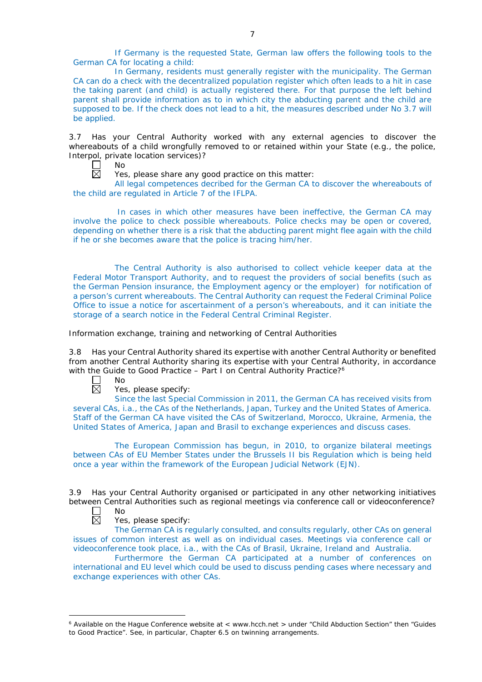If Germany is the requested State, German law offers the following tools to the German CA for locating a child:

In Germany, residents must generally register with the municipality. The German CA can do a check with the decentralized population register which often leads to a hit in case the taking parent (and child) is actually registered there. For that purpose the left behind parent shall provide information as to in which city the abducting parent and the child are supposed to be. If the check does not lead to a hit, the measures described under No 3.7 will be applied.

3.7 Has your Central Authority worked with any external agencies to discover the whereabouts of a child wrongfully removed to or retained within your State (*e.g.*, the police, Interpol, private location services)?

No  $\perp$ 岗

Yes, please share any good practice on this matter:

All legal competences decribed for the German CA to discover the whereabouts of the child are regulated in Article 7 of the IFLPA.

In cases in which other measures have been ineffective, the German CA may involve the police to check possible whereabouts. Police checks may be open or covered, depending on whether there is a risk that the abducting parent might flee again with the child if he or she becomes aware that the police is tracing him/her.

The Central Authority is also authorised to collect vehicle keeper data at the Federal Motor Transport Authority, and to request the providers of social benefits (such as the German Pension insurance, the Employment agency or the employer) for notification of a person's current whereabouts. The Central Authority can request the Federal Criminal Police Office to issue a notice for ascertainment of a person's whereabouts, and it can initiate the storage of a search notice in the Federal Central Criminal Register.

*Information exchange, training and networking of Central Authorities*

3.8 Has your Central Authority shared its expertise with another Central Authority or benefited from another Central Authority sharing its expertise with your Central Authority, in accordance with the Guide to Good Practice – Part I on Central Authority Practice?<sup>6</sup>

 $\Box$  $\boxtimes$  No

Yes, please specify:

Since the last Special Commission in 2011, the German CA has received visits from several CAs, i.a., the CAs of the Netherlands, Japan, Turkey and the United States of America. Staff of the German CA have visited the CAs of Switzerland, Morocco, Ukraine, Armenia, the United States of America, Japan and Brasil to exchange experiences and discuss cases.

The European Commission has begun, in 2010, to organize bilateral meetings between CAs of EU Member States under the Brussels II bis Regulation which is being held once a year within the framework of the European Judicial Network (EJN).

3.9 Has your Central Authority organised or participated in any other networking initiatives between Central Authorities such as regional meetings via conference call or videoconference?

 $\perp$ No 反

-

Yes, please specify:

The German CA is regularly consulted, and consults regularly, other CAs on general issues of common interest as well as on individual cases. Meetings via conference call or videoconference took place, i.a., with the CAs of Brasil, Ukraine, Ireland and Australia.

Furthermore the German CA participated at a number of conferences on international and EU level which could be used to discuss pending cases where necessary and exchange experiences with other CAs.

<sup>&</sup>lt;sup>6</sup> Available on the Hague Conference website at < www.hcch.net > under "Child Abduction Section" then "Guides to Good Practice". See, in particular, Chapter 6.5 on twinning arrangements.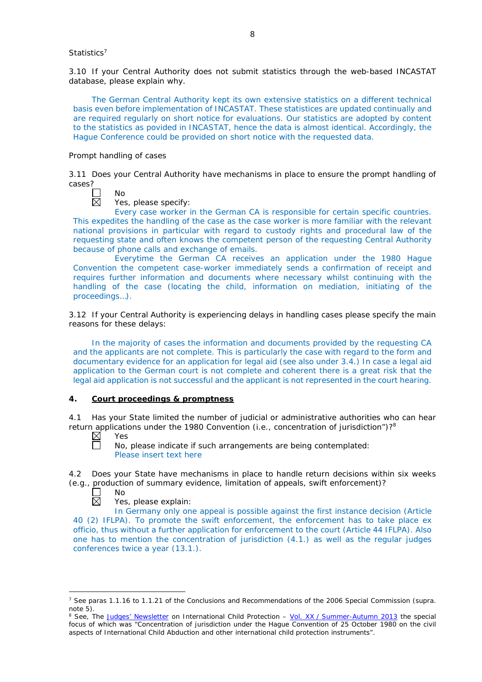#### *Statistics*<sup>7</sup>

3.10 If your Central Authority does not submit statistics through the web-based INCASTAT database, please explain why.

The German Central Authority kept its own extensive statistics on a different technical basis even before implementation of INCASTAT. These statistices are updated continually and are required regularly on short notice for evaluations. Our statistics are adopted by content to the statistics as povided in INCASTAT, hence the data is almost identical. Accordingly, the Hague Conference could be provided on short notice with the requested data.

#### *Prompt handling of cases*

No

3.11 Does your Central Authority have mechanisms in place to ensure the prompt handling of cases?

Yes, please specify:

Every case worker in the German CA is responsible for certain specific countries. This expedites the handling of the case as the case worker is more familiar with the relevant national provisions in particular with regard to custody rights and procedural law of the requesting state and often knows the competent person of the requesting Central Authority because of phone calls and exchange of emails.

Everytime the German CA receives an application under the 1980 Hague Convention the competent case-worker immediately sends a confirmation of receipt and requires further information and documents where necessary whilst continuing with the handling of the case (locating the child, information on mediation, initiating of the proceedings…).

3.12 If your Central Authority is experiencing delays in handling cases please specify the main reasons for these delays:

In the majority of cases the information and documents provided by the requesting CA and the applicants are not complete. This is particularly the case with regard to the form and documentary evidence for an application for legal aid (see also under 3.4.) In case a legal aid application to the German court is not complete and coherent there is a great risk that the legal aid application is not successful and the applicant is not represented in the court hearing.

# **4. Court proceedings & promptness**

4.1 Has your State limited the number of judicial or administrative authorities who can hear return applications under the 1980 Convention (*i.e.*, concentration of jurisdiction")?8

 $\boxtimes$ Yes П

No, please indicate if such arrangements are being contemplated: Please insert text here

4.2 Does your State have mechanisms in place to handle return decisions within six weeks (*e.g.*, production of summary evidence, limitation of appeals, swift enforcement)?

П No  $\overline{\boxtimes}$ 

-

Yes, please explain:

In Germany only one appeal is possible against the first instance decision (Article 40 (2) IFLPA). To promote the swift enforcement, the enforcement has to take place ex officio, thus without a further application for enforcement to the court (Article 44 IFLPA). Also one has to mention the concentration of jurisdiction (4.1.) as well as the regular judges conferences twice a year (13.1.).

<sup>7</sup> See paras 1.1.16 to 1.1.21 of the Conclusions and Recommendations of the 2006 Special Commission (*supra.*  note 5).

<sup>8</sup> See, *The [Judges' Newsletter](https://www.hcch.net/en/instruments/conventions/publications2/judges-newsletter)* on International Child Protection – Vol. XX / [Summer-Autumn 2013](https://assets.hcch.net/upload/newsletter/nl2013tome20en.pdf) the special focus of which was "Concentration of jurisdiction under the *Hague Convention of 25 October 1980 on the civil aspects of International Child Abduction* and other international child protection instruments".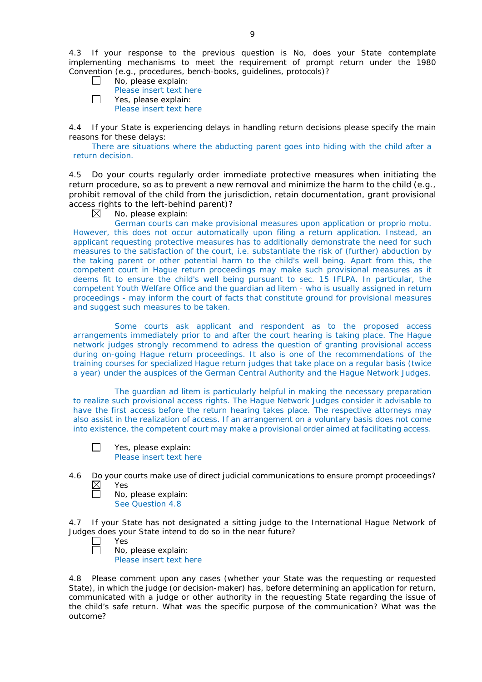4.3 If your response to the previous question is No, does your State contemplate implementing mechanisms to meet the requirement of prompt return under the 1980 Convention (*e.g.*, procedures, bench-books, guidelines, protocols)?

| $\Box$ | No, please explain:     |
|--------|-------------------------|
|        | Please insert text here |
| $\Box$ | Yes, please explain:    |
|        | Please insert text here |

4.4 If your State is experiencing delays in handling return decisions please specify the main reasons for these delays:

There are situations where the abducting parent goes into hiding with the child after a return decision.

4.5 Do your courts regularly order immediate protective measures when initiating the return procedure, so as to prevent a new removal and minimize the harm to the child (*e.g.*, prohibit removal of the child from the jurisdiction, retain documentation, grant provisional access rights to the left-behind parent)?

⊠ No, please explain:

German courts can make provisional measures upon application or proprio motu. However, this does not occur automatically upon filing a return application. Instead, an applicant requesting protective measures has to additionally demonstrate the need for such measures to the satisfaction of the court, i.e. substantiate the risk of (further) abduction by the taking parent or other potential harm to the child's well being. Apart from this, the competent court in Hague return proceedings may make such provisional measures as it deems fit to ensure the child's well being pursuant to sec. 15 IFLPA. In particular, the competent Youth Welfare Office and the guardian ad litem - who is usually assigned in return proceedings - may inform the court of facts that constitute ground for provisional measures and suggest such measures to be taken.

Some courts ask applicant and respondent as to the proposed access arrangements immediately prior to and after the court hearing is taking place. The Hague network judges strongly recommend to adress the question of granting provisional access during on-going Hague return proceedings. It also is one of the recommendations of the training courses for specialized Hague return judges that take place on a regular basis (twice a year) under the auspices of the German Central Authority and the Hague Network Judges.

The guardian ad litem is particularly helpful in making the necessary preparation to realize such provisional access rights. The Hague Network Judges consider it advisable to have the first access before the return hearing takes place. The respective attorneys may also assist in the realization of access. If an arrangement on a voluntary basis does not come into existence, the competent court may make a provisional order aimed at facilitating access.

 $\Box$ Yes, please explain: Please insert text here

4.6 Do your courts make use of direct judicial communications to ensure prompt proceedings?<br>  $\boxtimes$  Yes<br>  $\Box$  No. please explain: Yes

No, please explain:

See Question 4.8

4.7 If your State has not designated a sitting judge to the International Hague Network of Judges does your State intend to do so in the near future?

Yes

No, please explain: Please insert text here

4.8 Please comment upon any cases (whether your State was the requesting or requested State), in which the judge (or decision-maker) has, before determining an application for return, communicated with a judge or other authority in the requesting State regarding the issue of the child's safe return. What was the specific purpose of the communication? What was the outcome?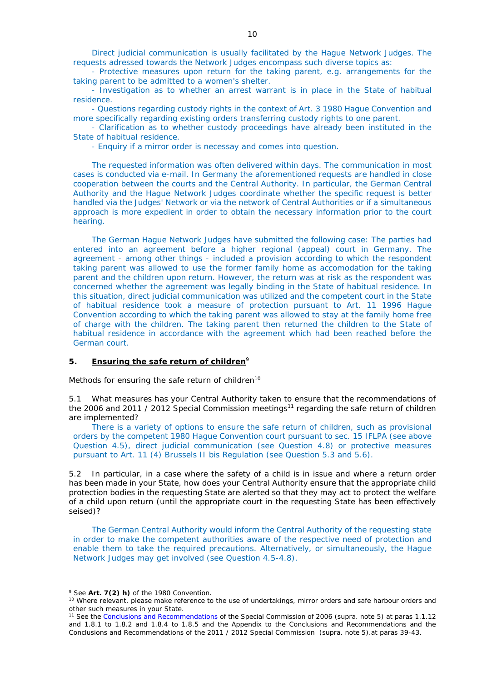Direct judicial communication is usually facilitated by the Hague Network Judges. The requests adressed towards the Network Judges encompass such diverse topics as:

- Protective measures upon return for the taking parent, e.g. arrangements for the taking parent to be admitted to a women's shelter.

- Investigation as to whether an arrest warrant is in place in the State of habitual residence.

- Questions regarding custody rights in the context of Art. 3 1980 Hague Convention and more specifically regarding existing orders transferring custody rights to one parent.

- Clarification as to whether custody proceedings have already been instituted in the State of habitual residence.

- Enquiry if a mirror order is necessay and comes into question.

The requested information was often delivered within days. The communication in most cases is conducted via e-mail. In Germany the aforementioned requests are handled in close cooperation between the courts and the Central Authority. In particular, the German Central Authority and the Hague Network Judges coordinate whether the specific request is better handled via the Judges' Network or via the network of Central Authorities or if a simultaneous approach is more expedient in order to obtain the necessary information prior to the court hearing.

The German Hague Network Judges have submitted the following case: The parties had entered into an agreement before a higher regional (appeal) court in Germany. The agreement - among other things - included a provision according to which the respondent taking parent was allowed to use the former family home as accomodation for the taking parent and the children upon return. However, the return was at risk as the respondent was concerned whether the agreement was legally binding in the State of habitual residence. In this situation, direct judicial communication was utilized and the competent court in the State of habitual residence took a measure of protection pursuant to Art. 11 1996 Hague Convention according to which the taking parent was allowed to stay at the family home free of charge with the children. The taking parent then returned the children to the State of habitual residence in accordance with the agreement which had been reached before the German court.

#### **5. Ensuring the safe return of children**<sup>9</sup>

*Methods for ensuring the safe return of children*<sup>10</sup>

5.1 What measures has your Central Authority taken to ensure that the recommendations of the 2006 and 2011 / 2012 Special Commission meetings<sup>11</sup> regarding the safe return of children are implemented?

There is a variety of options to ensure the safe return of children, such as provisional orders by the competent 1980 Hague Convention court pursuant to sec. 15 IFLPA (see above Question 4.5), direct judicial communication (see Question 4.8) or protective measures pursuant to Art. 11 (4) Brussels II bis Regulation (see Question 5.3 and 5.6).

5.2 In particular, in a case where the safety of a child is in issue and where a return order has been made in your State, how does your Central Authority ensure that the appropriate child protection bodies in the *requesting* State are alerted so that they may act to protect the welfare of a child upon return (until the appropriate court in the requesting State has been effectively seised)?

The German Central Authority would inform the Central Authority of the requesting state in order to make the competent authorities aware of the respective need of protection and enable them to take the required precautions. Alternatively, or simultaneously, the Hague Network Judges may get involved (see Question 4.5-4.8).

-

<sup>9</sup> See **Art. 7(2)** *h)* of the 1980 Convention.

<sup>&</sup>lt;sup>10</sup> Where relevant, please make reference to the use of undertakings, mirror orders and safe harbour orders and other such measures in your State.

<sup>11</sup> See the [Conclusions and Recommendations](https://assets.hcch.net/upload/concl28sc5_e.pdf) of the Special Commission of 2006 (*supra.* note 5) at paras 1.1.12 and 1.8.1 to 1.8.2 and 1.8.4 to 1.8.5 and the Appendix to the Conclusions and Recommendations and the [Conclusions and Recommendations of the 2011](https://assets.hcch.net/upload/wop/concl28sc6_e.pdf) / 2012 Special Commission (*supra.* note 5).at paras 39-43.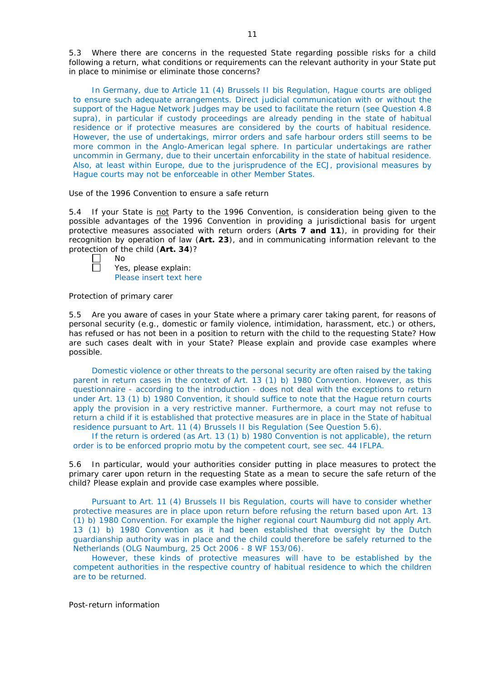5.3 Where there are concerns in the requested State regarding possible risks for a child following a return, what conditions or requirements can the relevant authority in your State put in place to minimise or eliminate those concerns?

In Germany, due to Article 11 (4) Brussels II bis Regulation, Hague courts are obliged to ensure such adequate arrangements. Direct judicial communication with or without the support of the Hague Network Judges may be used to facilitate the return (see Question 4.8 supra), in particular if custody proceedings are already pending in the state of habitual residence or if protective measures are considered by the courts of habitual residence. However, the use of undertakings, mirror orders and safe harbour orders still seems to be more common in the Anglo-American legal sphere. In particular undertakings are rather uncommin in Germany, due to their uncertain enforcability in the state of habitual residence. Also, at least within Europe, due to the jurisprudence of the ECJ, provisional measures by Hague courts may not be enforceable in other Member States.

#### *Use of the 1996 Convention to ensure a safe return*

5.4 If your State is not Party to the 1996 Convention, is consideration being given to the possible advantages of the 1996 Convention in providing a jurisdictional basis for urgent protective measures associated with return orders (**Arts 7 and 11**), in providing for their recognition by operation of law (**Art. 23**), and in communicating information relevant to the protection of the child (**Art. 34**)?

No ñ

Yes, please explain: Please insert text here

#### *Protection of primary carer*

5.5 Are you aware of cases in your State where a primary carer taking parent, for reasons of personal security (*e.g.*, domestic or family violence, intimidation, harassment, etc.) or others, has refused or has not been in a position to return with the child to the requesting State? How are such cases dealt with in your State? Please explain and provide case examples where possible.

Domestic violence or other threats to the personal security are often raised by the taking parent in return cases in the context of Art. 13 (1) b) 1980 Convention. However, as this questionnaire - according to the introduction - does not deal with the exceptions to return under Art. 13 (1) b) 1980 Convention, it should suffice to note that the Hague return courts apply the provision in a very restrictive manner. Furthermore, a court may not refuse to return a child if it is established that protective measures are in place in the State of habitual residence pursuant to Art. 11 (4) Brussels II bis Regulation (See Question 5.6).

If the return is ordered (as Art. 13 (1) b) 1980 Convention is not applicable), the return order is to be enforced proprio motu by the competent court, see sec. 44 IFLPA.

5.6 In particular, would your authorities consider putting in place measures to protect the primary carer upon return in the requesting State as a mean to secure the safe return of the child? Please explain and provide case examples where possible.

Pursuant to Art. 11 (4) Brussels II bis Regulation, courts will have to consider whether protective measures are in place upon return before refusing the return based upon Art. 13 (1) b) 1980 Convention. For example the higher regional court Naumburg did not apply Art. 13 (1) b) 1980 Convention as it had been established that oversight by the Dutch guardianship authority was in place and the child could therefore be safely returned to the Netherlands (OLG Naumburg, 25 Oct 2006 - 8 WF 153/06).

However, these kinds of protective measures will have to be established by the competent authorities in the respective country of habitual residence to which the children are to be returned.

*Post-return information*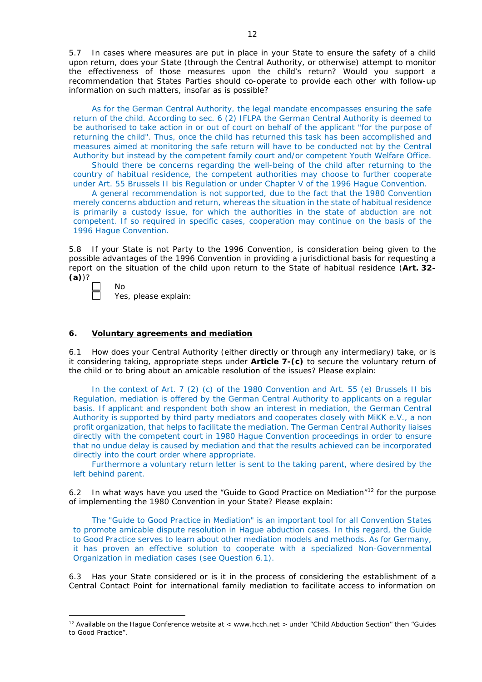5.7 In cases where measures are put in place in your State to ensure the safety of a child upon return, does your State (through the Central Authority, or otherwise) attempt to monitor the effectiveness of those measures upon the child's return? Would you support a recommendation that States Parties should co-operate to provide each other with follow-up information on such matters, insofar as is possible?

As for the German Central Authority, the legal mandate encompasses ensuring the safe return of the child. According to sec. 6 (2) IFLPA the German Central Authority is deemed to be authorised to take action in or out of court on behalf of the applicant "for the purpose of returning the child". Thus, once the child has returned this task has been accomplished and measures aimed at monitoring the safe return will have to be conducted not by the Central Authority but instead by the competent family court and/or competent Youth Welfare Office.

Should there be concerns regarding the well-being of the child after returning to the country of habitual residence, the competent authorities may choose to further cooperate under Art. 55 Brussels II bis Regulation or under Chapter V of the 1996 Hague Convention.

A general recommendation is not supported, due to the fact that the 1980 Convention merely concerns abduction and return, whereas the situation in the state of habitual residence is primarily a custody issue, for which the authorities in the state of abduction are not competent. If so required in specific cases, cooperation may continue on the basis of the 1996 Hague Convention.

5.8 If your State is not Party to the 1996 Convention, is consideration being given to the possible advantages of the 1996 Convention in providing a jurisdictional basis for requesting a report on the situation of the child upon return to the State of habitual residence (**Art. 32- (a)**)?

No Yes, please explain:

-

# **6. Voluntary agreements and mediation**

6.1 How does your Central Authority (either directly or through any intermediary) take, or is it considering taking, appropriate steps under **Article 7-(c)** to secure the voluntary return of the child or to bring about an amicable resolution of the issues? Please explain:

In the context of Art. 7 (2) (c) of the 1980 Convention and Art. 55 (e) Brussels II bis Regulation, mediation is offered by the German Central Authority to applicants on a regular basis. If applicant and respondent both show an interest in mediation, the German Central Authority is supported by third party mediators and cooperates closely with MiKK e.V., a non profit organization, that helps to facilitate the mediation. The German Central Authority liaises directly with the competent court in 1980 Hague Convention proceedings in order to ensure that no undue delay is caused by mediation and that the results achieved can be incorporated directly into the court order where appropriate.

Furthermore a voluntary return letter is sent to the taking parent, where desired by the left behind parent.

6.2 In what ways have you used the "Guide to Good Practice on Mediation"<sup>12</sup> for the purpose of implementing the 1980 Convention in your State? Please explain:

The "Guide to Good Practice in Mediation" is an important tool for all Convention States to promote amicable dispute resolution in Hague abduction cases. In this regard, the Guide to Good Practice serves to learn about other mediation models and methods. As for Germany, it has proven an effective solution to cooperate with a specialized Non-Governmental Organization in mediation cases (see Question 6.1).

6.3 Has your State considered or is it in the process of considering the establishment of a Central Contact Point for international family mediation to facilitate access to information on

<sup>&</sup>lt;sup>12</sup> Available on the Hague Conference website at < www.hcch.net > under "Child Abduction Section" then "Guides to Good Practice".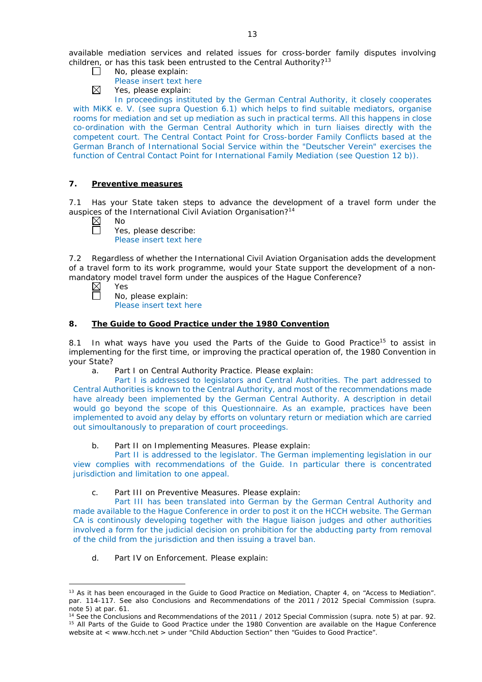available mediation services and related issues for cross-border family disputes involving children, or has this task been entrusted to the Central Authority?<sup>13</sup>

- $\Box$ No, please explain:
	- Please insert text here
- $\boxtimes$ Yes, please explain:

In proceedings instituted by the German Central Authority, it closely cooperates with MiKK e. V. (see supra Question 6.1) which helps to find suitable mediators, organise rooms for mediation and set up mediation as such in practical terms. All this happens in close co-ordination with the German Central Authority which in turn liaises directly with the competent court. The Central Contact Point for Cross-border Family Conflicts based at the German Branch of International Social Service within the "Deutscher Verein" exercises the function of Central Contact Point for International Family Mediation (see Question 12 b)).

# **7. Preventive measures**

7.1 Has your State taken steps to advance the development of a travel form under the auspices of the International Civil Aviation Organisation?<sup>14</sup>

 $\boxtimes$ No  $\Box$ 

Yes, please describe: Please insert text here

7.2 Regardless of whether the International Civil Aviation Organisation adds the development of a travel form to its work programme, would your State support the development of a nonmandatory model travel form under the auspices of the Hague Conference?

 $\boxtimes$ Yes

 $\Box$ 

-

No, please explain: Please insert text here

# **8. The Guide to Good Practice under the 1980 Convention**

8.1 In what ways have you used the Parts of the Guide to Good Practice<sup>15</sup> to assist in implementing for the first time, or improving the practical operation of, the 1980 Convention in your State?

a. Part I on Central Authority Practice. Please explain:

Part I is addressed to legislators and Central Authorities. The part addressed to Central Authorities is known to the Central Authority, and most of the recommendations made have already been implemented by the German Central Authority. A description in detail would go beyond the scope of this Questionnaire. As an example, practices have been implemented to avoid any delay by efforts on voluntary return or mediation which are carried out simoultanously to preparation of court proceedings.

b. Part II on Implementing Measures. Please explain:

Part II is addressed to the legislator. The German implementing legislation in our view complies with recommendations of the Guide. In particular there is concentrated jurisdiction and limitation to one appeal.

c. Part III on Preventive Measures. Please explain:

Part III has been translated into German by the German Central Authority and made available to the Hague Conference in order to post it on the HCCH website. The German CA is continously developing together with the Hague liaison judges and other authorities involved a form for the judicial decision on prohibition for the abducting party from removal of the child from the jurisdiction and then issuing a travel ban.

d. Part IV on Enforcement. Please explain:

<sup>&</sup>lt;sup>13</sup> As it has been encouraged in the Guide to Good Practice on Mediation, Chapter 4, on "Access to Mediation". par. 114-117. See also [Conclusions and Recommendations of the 2011](https://assets.hcch.net/upload/wop/concl28sc6_e.pdf) / 2012 Special Commission (*supra.* note 5) at par. 61.

<sup>14</sup> See the [Conclusions and Recommendations of the 2011](https://assets.hcch.net/upload/wop/concl28sc6_e.pdf) / 2012 Special Commission (*supra.* note 5) at par. 92. <sup>15</sup> All Parts of the Guide to Good Practice under the 1980 Convention are available on the Hague Conference website at < www.hcch.net > under "Child Abduction Section" then "Guides to Good Practice".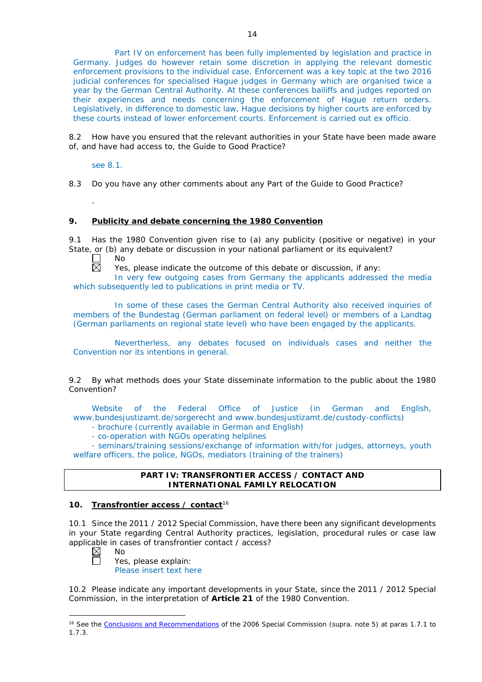8.2 How have you ensured that the relevant authorities in your State have been made aware of, and have had access to, the Guide to Good Practice?

see 8.1.

-

8.3 Do you have any other comments about any Part of the Guide to Good Practice?

# **9. Publicity and debate concerning the 1980 Convention**

9.1 Has the 1980 Convention given rise to (a) any publicity (positive or negative) in your State, or (b) any debate or discussion in your national parliament or its equivalent?

No 岗

Yes, please indicate the outcome of this debate or discussion, if any:

In very few outgoing cases from Germany the applicants addressed the media which subsequently led to publications in print media or TV.

In some of these cases the German Central Authority also received inquiries of members of the Bundestag (German parliament on federal level) or members of a Landtag (German parliaments on regional state level) who have been engaged by the applicants.

Nevertherless, any debates focused on individuals cases and neither the Convention nor its intentions in general.

9.2 By what methods does your State disseminate information to the public about the 1980 Convention?

Website of the Federal Office of Justice (in German and English, www.bundesjustizamt.de/sorgerecht and www.bundesjustizamt.de/custody-conflicts)

- brochure (currently available in German and English)
- co-operation with NGOs operating helplines

- seminars/training sessions/exchange of information with/for judges, attorneys, youth welfare officers, the police, NGOs, mediators (training of the trainers)

# **PART IV: TRANSFRONTIER ACCESS / CONTACT AND INTERNATIONAL FAMILY RELOCATION**

# **10. Transfrontier access / contact**<sup>16</sup>

10.1 Since the 2011 / 2012 Special Commission, have there been any significant developments in your State regarding Central Authority practices, legislation, procedural rules or case law applicable in cases of transfrontier contact / access?

 $\boxtimes$  $\Box$ 

-

No

Yes, please explain: Please insert text here

10.2 Please indicate any important developments in your State, since the 2011 / 2012 Special Commission, in the interpretation of **Article 21** of the 1980 Convention.

<sup>16</sup> See the [Conclusions and Recommendations](https://assets.hcch.net/upload/concl28sc5_e.pdf) of the 2006 Special Commission (*supra.* note 5) at paras 1.7.1 to 1.7.3.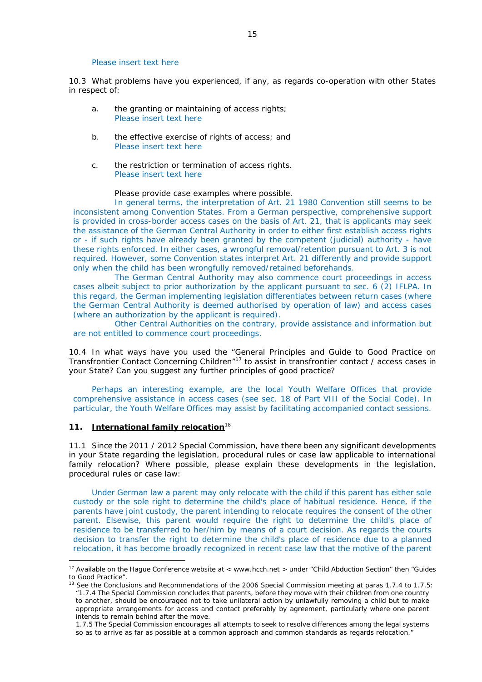#### Please insert text here

10.3 What problems have you experienced, if any, as regards co-operation with other States in respect of:

- a. the granting or maintaining of access rights; Please insert text here
- b. the effective exercise of rights of access; and Please insert text here
- c. the restriction or termination of access rights. Please insert text here

#### Please provide case examples where possible.

In general terms, the interpretation of Art. 21 1980 Convention still seems to be inconsistent among Convention States. From a German perspective, comprehensive support is provided in cross-border access cases on the basis of Art. 21, that is applicants may seek the assistance of the German Central Authority in order to either first establish access rights or - if such rights have already been granted by the competent (judicial) authority - have these rights enforced. In either cases, a wrongful removal/retention pursuant to Art. 3 is not required. However, some Convention states interpret Art. 21 differently and provide support only when the child has been wrongfully removed/retained beforehands.

The German Central Authority may also commence court proceedings in access cases albeit subject to prior authorization by the applicant pursuant to sec. 6 (2) IFLPA. In this regard, the German implementing legislation differentiates between return cases (where the German Central Authority is deemed authorised by operation of law) and access cases (where an authorization by the applicant is required).

Other Central Authorities on the contrary, provide assistance and information but are not entitled to commence court proceedings.

10.4 In what ways have you used the "General Principles and Guide to Good Practice on Transfrontier Contact Concerning Children"17 to assist in transfrontier contact / access cases in your State? Can you suggest any further principles of good practice?

Perhaps an interesting example, are the local Youth Welfare Offices that provide comprehensive assistance in access cases (see sec. 18 of Part VIII of the Social Code). In particular, the Youth Welfare Offices may assist by facilitating accompanied contact sessions.

#### **11. International family relocation**<sup>18</sup>

<u>.</u>

11.1 Since the 2011 / 2012 Special Commission, have there been any significant developments in your State regarding the legislation, procedural rules or case law applicable to international family relocation? Where possible, please explain these developments in the legislation, procedural rules or case law:

Under German law a parent may only relocate with the child if this parent has either sole custody or the sole right to determine the child's place of habitual residence. Hence, if the parents have joint custody, the parent intending to relocate requires the consent of the other parent. Elsewise, this parent would require the right to determine the child's place of residence to be transferred to her/him by means of a court decision. As regards the courts decision to transfer the right to determine the child's place of residence due to a planned relocation, it has become broadly recognized in recent case law that the motive of the parent

<sup>&</sup>lt;sup>17</sup> Available on the Hague Conference website at < www.hcch.net > under "Child Abduction Section" then "Guides" to Good Practice".

<sup>&</sup>lt;sup>18</sup> See the Conclusions and Recommendations of the 2006 Special Commission meeting at paras 1.7.4 to 1.7.5: *"*1.7.4 The Special Commission concludes that parents, before they move with their children from one country to another, should be encouraged not to take unilateral action by unlawfully removing a child but to make appropriate arrangements for access and contact preferably by agreement, particularly where one parent intends to remain behind after the move.

<sup>1.7.5</sup> The Special Commission encourages all attempts to seek to resolve differences among the legal systems so as to arrive as far as possible at a common approach and common standards as regards relocation."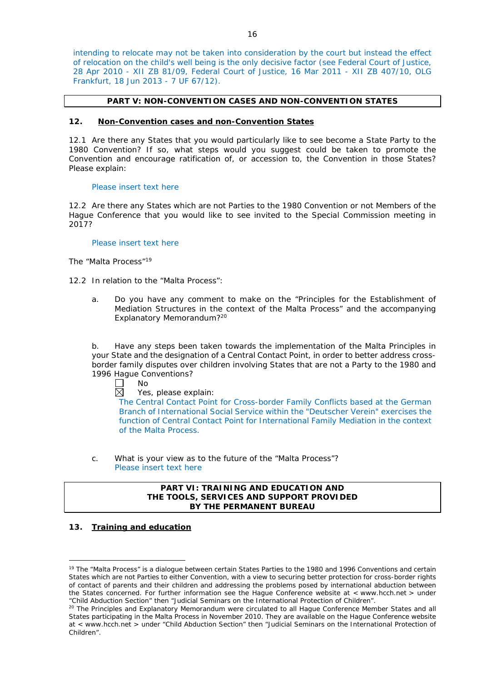intending to relocate may not be taken into consideration by the court but instead the effect of relocation on the child's well being is the only decisive factor (see Federal Court of Justice, 28 Apr 2010 - XII ZB 81/09, Federal Court of Justice, 16 Mar 2011 - XII ZB 407/10, OLG Frankfurt, 18 Jun 2013 - 7 UF 67/12).

### **PART V: NON-CONVENTION CASES AND NON-CONVENTION STATES**

#### **12. Non-Convention cases and non-Convention States**

12.1 Are there any States that you would particularly like to see become a State Party to the 1980 Convention? If so, what steps would you suggest could be taken to promote the Convention and encourage ratification of, or accession to, the Convention in those States? Please explain:

#### Please insert text here

12.2 Are there any States which are not Parties to the 1980 Convention or not Members of the Hague Conference that you would like to see invited to the Special Commission meeting in 2017?

#### Please insert text here

*The "Malta Process"*<sup>19</sup>

- 12.2 In relation to the "Malta Process":
	- a. Do you have any comment to make on the "Principles for the Establishment of Mediation Structures in the context of the Malta Process" and the accompanying Explanatory Memorandum?20

b. Have any steps been taken towards the implementation of the Malta Principles in your State and the designation of a Central Contact Point, in order to better address crossborder family disputes over children involving States that are not a Party to the 1980 and 1996 Hague Conventions?

 $\Box$ No

 $\boxtimes$ Yes, please explain:

The Central Contact Point for Cross-border Family Conflicts based at the German Branch of International Social Service within the "Deutscher Verein" exercises the function of Central Contact Point for International Family Mediation in the context of the Malta Process.

c. What is your view as to the future of the "Malta Process"? Please insert text here

# **PART VI: TRAINING AND EDUCATION AND THE TOOLS, SERVICES AND SUPPORT PROVIDED BY THE PERMANENT BUREAU**

# **13. Training and education**

<u>.</u>

<sup>&</sup>lt;sup>19</sup> The "Malta Process" is a dialogue between certain States Parties to the 1980 and 1996 Conventions and certain States which are not Parties to either Convention, with a view to securing better protection for cross-border rights of contact of parents and their children and addressing the problems posed by international abduction between the States concerned. For further information see the Hague Conference website at < www.hcch.net > under "Child Abduction Section" then "Judicial Seminars on the International Protection of Children".

<sup>&</sup>lt;sup>20</sup> The Principles and Explanatory Memorandum were circulated to all Hague Conference Member States and all States participating in the Malta Process in November 2010. They are available on the Hague Conference website at < www.hcch.net > under "Child Abduction Section" then "Judicial Seminars on the International Protection of Children".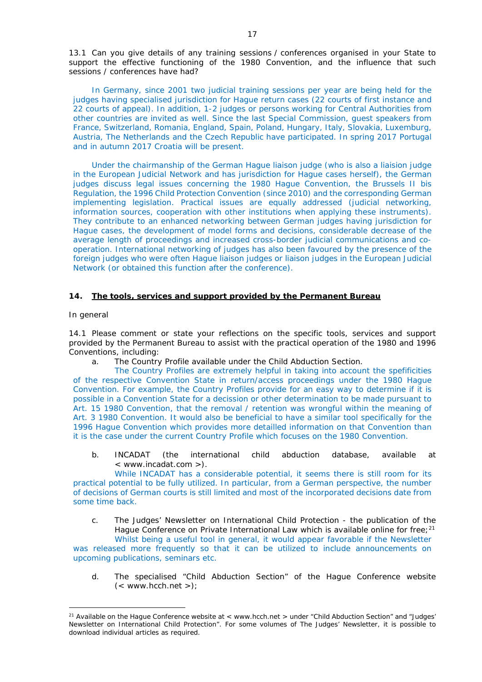13.1 Can you give details of any training sessions / conferences organised in your State to support the effective functioning of the 1980 Convention, and the influence that such sessions / conferences have had?

In Germany, since 2001 two judicial training sessions per year are being held for the judges having specialised jurisdiction for Hague return cases (22 courts of first instance and 22 courts of appeal). In addition, 1-2 judges or persons working for Central Authorities from other countries are invited as well. Since the last Special Commission, guest speakers from France, Switzerland, Romania, England, Spain, Poland, Hungary, Italy, Slovakia, Luxemburg, Austria, The Netherlands and the Czech Republic have participated. In spring 2017 Portugal and in autumn 2017 Croatia will be present.

Under the chairmanship of the German Hague liaison judge (who is also a liaision judge in the European Judicial Network and has jurisdiction for Hague cases herself), the German judges discuss legal issues concerning the 1980 Hague Convention, the Brussels II bis Regulation, the 1996 Child Protection Convention (since 2010) and the corresponding German implementing legislation. Practical issues are equally addressed (judicial networking, information sources, cooperation with other institutions when applying these instruments). They contribute to an enhanced networking between German judges having jurisdiction for Hague cases, the development of model forms and decisions, considerable decrease of the average length of proceedings and increased cross-border judicial communications and cooperation. International networking of judges has also been favoured by the presence of the foreign judges who were often Hague liaison judges or liaison judges in the European Judicial Network (or obtained this function after the conference).

### **14. The tools, services and support provided by the Permanent Bureau**

#### *In general*

-

14.1 Please comment or state your reflections on the specific tools, services and support provided by the Permanent Bureau to assist with the practical operation of the 1980 and 1996 Conventions, including:

a. The Country Profile available under the Child Abduction Section.

The Country Profiles are extremely helpful in taking into account the spefificities of the respective Convention State in return/access proceedings under the 1980 Hague Convention. For example, the Country Profiles provide for an easy way to determine if it is possible in a Convention State for a decission or other determination to be made pursuant to Art. 15 1980 Convention, that the removal / retention was wrongful within the meaning of Art. 3 1980 Convention. It would also be beneficial to have a similar tool specifically for the 1996 Hague Convention which provides more detailled information on that Convention than it is the case under the current Country Profile which focuses on the 1980 Convention.

b. INCADAT (the international child abduction database, available at < www.incadat.com >).

While INCADAT has a considerable potential, it seems there is still room for its practical potential to be fully utilized. In particular, from a German perspective, the number of decisions of German courts is still limited and most of the incorporated decisions date from some time back.

- c. *The Judges' Newsletter* on International Child Protection the publication of the Hague Conference on Private International Law which is available online for free;<sup>21</sup> Whilst being a useful tool in general, it would appear favorable if the Newsletter was released more frequently so that it can be utilized to include announcements on upcoming publications, seminars etc.
	- d. The specialised "Child Abduction Section" of the Hague Conference website  $(<$  www.hcch.net >);

<sup>&</sup>lt;sup>21</sup> Available on the Hague Conference website at < www.hcch.net > under "Child Abduction Section" and "Judges' Newsletter on International Child Protection". For some volumes of *The Judges' Newsletter*, it is possible to download individual articles as required.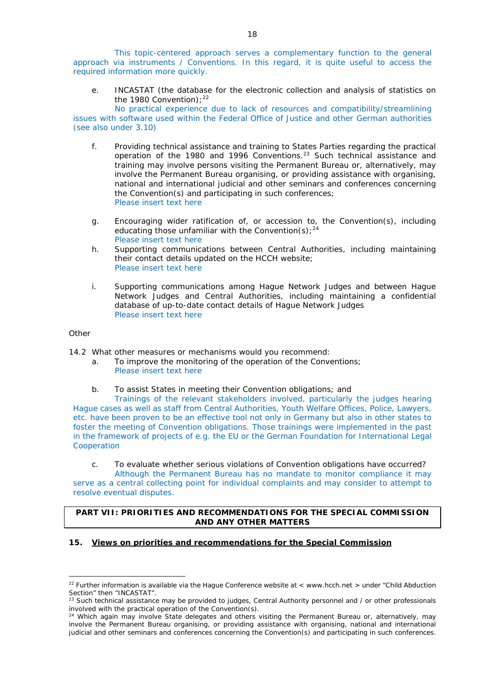This topic-centered approach serves a complementary function to the general approach via instruments / Conventions. In this regard, it is quite useful to access the required information more quickly.

e. INCASTAT (the database for the electronic collection and analysis of statistics on the 1980 Convention);  $22$ 

No practical experience due to lack of resources and compatibility/streamlining issues with software used within the Federal Office of Justice and other German authorities (see also under 3.10)

- f. Providing technical assistance and training to States Parties regarding the practical operation of the 1980 and 1996 Conventions.23 Such technical assistance and training may involve persons visiting the Permanent Bureau or, alternatively, may involve the Permanent Bureau organising, or providing assistance with organising, national and international judicial and other seminars and conferences concerning the Convention(s) and participating in such conferences; Please insert text here
- g. Encouraging wider ratification of, or accession to, the Convention(s), including educating those unfamiliar with the Convention(s);  $24$ Please insert text here
- h. Supporting communications between Central Authorities, including maintaining their contact details updated on the HCCH website; Please insert text here
- i. Supporting communications among Hague Network Judges and between Hague Network Judges and Central Authorities, including maintaining a confidential database of up-to-date contact details of Hague Network Judges Please insert text here

# *Other*

<u>.</u>

14.2 What other measures or mechanisms would you recommend:

- a. To improve the monitoring of the operation of the Conventions; Please insert text here
- b. To assist States in meeting their Convention obligations; and

Trainings of the relevant stakeholders involved, particularly the judges hearing Hague cases as well as staff from Central Authorities, Youth Welfare Offices, Police, Lawyers, etc. have been proven to be an effective tool not only in Germany but also in other states to foster the meeting of Convention obligations. Those trainings were implemented in the past in the framework of projects of e.g. the EU or the German Foundation for International Legal Cooperation

c. To evaluate whether serious violations of Convention obligations have occurred? Although the Permanent Bureau has no mandate to monitor compliance it may serve as a central collecting point for individual complaints and may consider to attempt to resolve eventual disputes.

# **PART VII: PRIORITIES AND RECOMMENDATIONS FOR THE SPECIAL COMMISSION AND ANY OTHER MATTERS**

#### **15. Views on priorities and recommendations for the Special Commission**

<sup>&</sup>lt;sup>22</sup> Further information is available via the Hague Conference website at < www.hcch.net > under "Child Abduction" Section" then "INCASTAT".

 $^{23}$  Such technical assistance may be provided to judges, Central Authority personnel and / or other professionals involved with the practical operation of the Convention(s).

<sup>&</sup>lt;sup>24</sup> Which again may involve State delegates and others visiting the Permanent Bureau or, alternatively, may involve the Permanent Bureau organising, or providing assistance with organising, national and international judicial and other seminars and conferences concerning the Convention(s) and participating in such conferences.